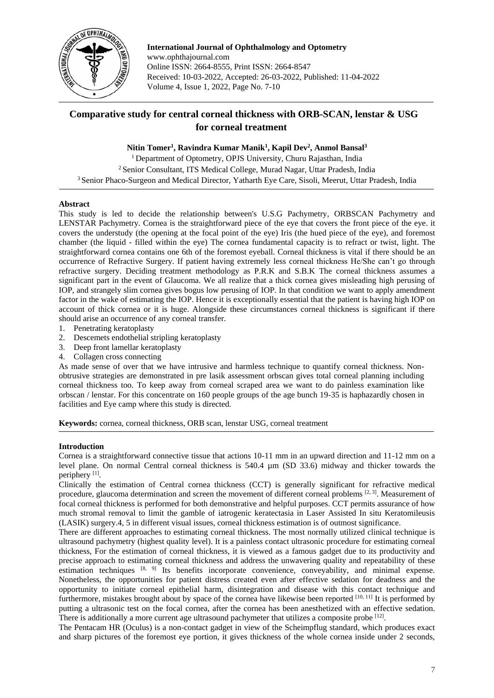

**International Journal of Ophthalmology and Optometry** www.ophthajournal.com Online ISSN: 2664-8555, Print ISSN: 2664-8547 Received: 10-03-2022, Accepted: 26-03-2022, Published: 11-04-2022 Volume 4, Issue 1, 2022, Page No. 7-10

# **Comparative study for central corneal thickness with ORB-SCAN, lenstar & USG for corneal treatment**

# **Nitin Tomer<sup>1</sup> , Ravindra Kumar Manik<sup>1</sup> , Kapil Dev<sup>2</sup> , Anmol Bansal<sup>3</sup>**

<sup>1</sup> Department of Optometry, OPJS University, Churu Rajasthan, India <sup>2</sup> Senior Consultant, ITS Medical College, Murad Nagar, Uttar Pradesh, India <sup>3</sup> Senior Phaco-Surgeon and Medical Director, Yatharth Eye Care, Sisoli, Meerut, Uttar Pradesh, India

### **Abstract**

This study is led to decide the relationship between's U.S.G Pachymetry, ORBSCAN Pachymetry and LENSTAR Pachymetry. Cornea is the straightforward piece of the eye that covers the front piece of the eye. it covers the understudy (the opening at the focal point of the eye) Iris (the hued piece of the eye), and foremost chamber (the liquid - filled within the eye) The cornea fundamental capacity is to refract or twist, light. The straightforward cornea contains one 6th of the foremost eyeball. Corneal thickness is vital if there should be an occurrence of Refractive Surgery. If patient having extremely less corneal thickness He/She can't go through refractive surgery. Deciding treatment methodology as P.R.K and S.B.K The corneal thickness assumes a significant part in the event of Glaucoma. We all realize that a thick cornea gives misleading high perusing of IOP, and strangely slim cornea gives bogus low perusing of IOP. In that condition we want to apply amendment factor in the wake of estimating the IOP. Hence it is exceptionally essential that the patient is having high IOP on account of thick cornea or it is huge. Alongside these circumstances corneal thickness is significant if there should arise an occurrence of any corneal transfer.

- 1. Penetrating keratoplasty
- 2. Descemets endothelial stripling keratoplasty
- 3. Deep front lamellar keratoplasty
- 4. Collagen cross connecting

As made sense of over that we have intrusive and harmless technique to quantify corneal thickness. Nonobtrusive strategies are demonstrated in pre lasik assessment orbscan gives total corneal planning including corneal thickness too. To keep away from corneal scraped area we want to do painless examination like orbscan / lenstar. For this concentrate on 160 people groups of the age bunch 19-35 is haphazardly chosen in facilities and Eye camp where this study is directed.

**Keywords:** cornea, corneal thickness, ORB scan, lenstar USG, corneal treatment

### **Introduction**

Cornea is a straightforward connective tissue that actions 10-11 mm in an upward direction and 11-12 mm on a level plane. On normal Central corneal thickness is 540.4 µm (SD 33.6) midway and thicker towards the periphery<sup>[1]</sup>.

Clinically the estimation of Central cornea thickness (CCT) is generally significant for refractive medical procedure, glaucoma determination and screen the movement of different corneal problems  $[2, 3]$ . Measurement of focal corneal thickness is performed for both demonstrative and helpful purposes. CCT permits assurance of how much stromal removal to limit the gamble of iatrogenic keratectasia in Laser Assisted In situ Keratomileusis (LASIK) surgery.4, 5 in different visual issues, corneal thickness estimation is of outmost significance.

There are different approaches to estimating corneal thickness. The most normally utilized clinical technique is ultrasound pachymetry (highest quality level). It is a painless contact ultrasonic procedure for estimating corneal thickness, For the estimation of corneal thickness, it is viewed as a famous gadget due to its productivity and precise approach to estimating corneal thickness and address the unwavering quality and repeatability of these estimation techniques [8, 9] Its benefits incorporate convenience, conveyability, and minimal expense. Nonetheless, the opportunities for patient distress created even after effective sedation for deadness and the opportunity to initiate corneal epithelial harm, disintegration and disease with this contact technique and furthermore, mistakes brought about by space of the cornea have likewise been reported [10, 11] It is performed by putting a ultrasonic test on the focal cornea, after the cornea has been anesthetized with an effective sedation. There is additionally a more current age ultrasound pachymeter that utilizes a composite probe  $^{[12]}$ .

The Pentacam HR (Oculus) is a non-contact gadget in view of the Scheimpflug standard, which produces exact and sharp pictures of the foremost eye portion, it gives thickness of the whole cornea inside under 2 seconds,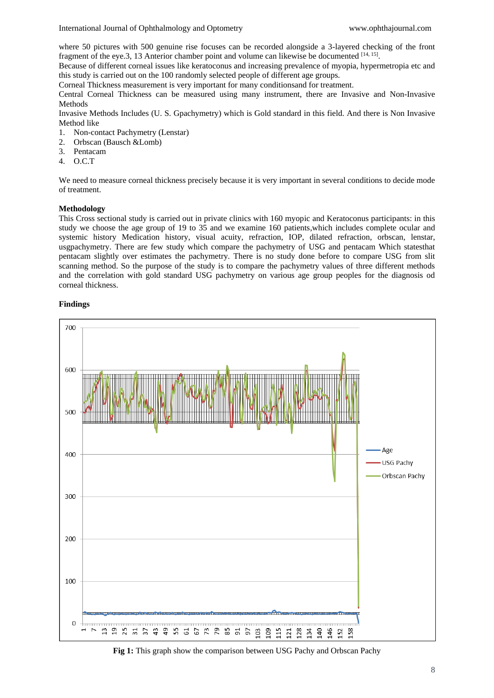where 50 pictures with 500 genuine rise focuses can be recorded alongside a 3-layered checking of the front fragment of the eye.3, 13 Anterior chamber point and volume can likewise be documented  $^{[14, 15]}$ .

Because of different corneal issues like keratoconus and increasing prevalence of myopia, hypermetropia etc and this study is carried out on the 100 randomly selected people of different age groups.

Corneal Thickness measurement is very important for many conditionsand for treatment.

Central Corneal Thickness can be measured using many instrument, there are Invasive and Non-Invasive Methods

Invasive Methods Includes (U. S. Gpachymetry) which is Gold standard in this field. And there is Non Invasive Method like

- 1. Non-contact Pachymetry (Lenstar)
- 2. Orbscan (Bausch &Lomb)
- 3. Pentacam
- 4. O.C.T

We need to measure corneal thickness precisely because it is very important in several conditions to decide mode of treatment.

# **Methodology**

This Cross sectional study is carried out in private clinics with 160 myopic and Keratoconus participants: in this study we choose the age group of 19 to 35 and we examine 160 patients,which includes complete ocular and systemic history Medication history, visual acuity, refraction, IOP, dilated refraction, orbscan, lenstar, usgpachymetry. There are few study which compare the pachymetry of USG and pentacam Which statesthat pentacam slightly over estimates the pachymetry. There is no study done before to compare USG from slit scanning method. So the purpose of the study is to compare the pachymetry values of three different methods and the correlation with gold standard USG pachymetry on various age group peoples for the diagnosis od corneal thickness.

### **Findings**



**Fig 1:** This graph show the comparison between USG Pachy and Orbscan Pachy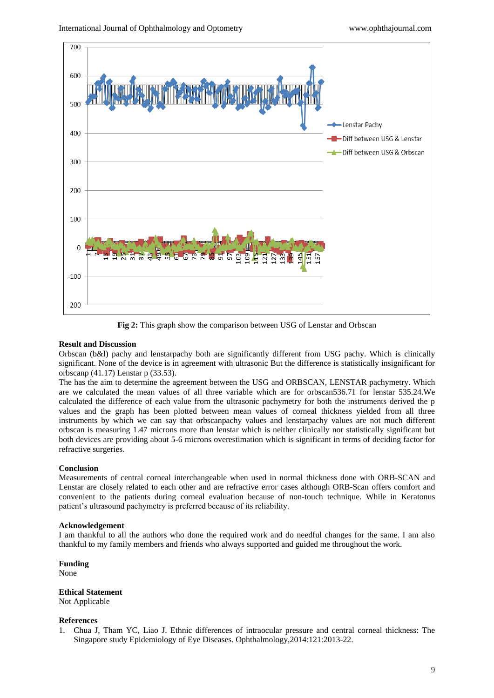

**Fig 2:** This graph show the comparison between USG of Lenstar and Orbscan

### **Result and Discussion**

Orbscan (b&l) pachy and lenstarpachy both are significantly different from USG pachy. Which is clinically significant. None of the device is in agreement with ultrasonic But the difference is statistically insignificant for orbscanp (41.17) Lenstar p (33.53).

The has the aim to determine the agreement between the USG and ORBSCAN, LENSTAR pachymetry. Which are we calculated the mean values of all three variable which are for orbscan536.71 for lenstar 535.24.We calculated the difference of each value from the ultrasonic pachymetry for both the instruments derived the p values and the graph has been plotted between mean values of corneal thickness yielded from all three instruments by which we can say that orbscanpachy values and lenstarpachy values are not much different orbscan is measuring 1.47 microns more than lenstar which is neither clinically nor statistically significant but both devices are providing about 5-6 microns overestimation which is significant in terms of deciding factor for refractive surgeries.

#### **Conclusion**

Measurements of central corneal interchangeable when used in normal thickness done with ORB-SCAN and Lenstar are closely related to each other and are refractive error cases although ORB-Scan offers comfort and convenient to the patients during corneal evaluation because of non-touch technique. While in Keratonus patient's ultrasound pachymetry is preferred because of its reliability.

#### **Acknowledgement**

I am thankful to all the authors who done the required work and do needful changes for the same. I am also thankful to my family members and friends who always supported and guided me throughout the work.

**Funding**  None

**Ethical Statement** 

Not Applicable

#### **References**

1. Chua J, Tham YC, Liao J. Ethnic differences of intraocular pressure and central corneal thickness: The Singapore study Epidemiology of Eye Diseases. Ophthalmology,2014:121:2013-22.